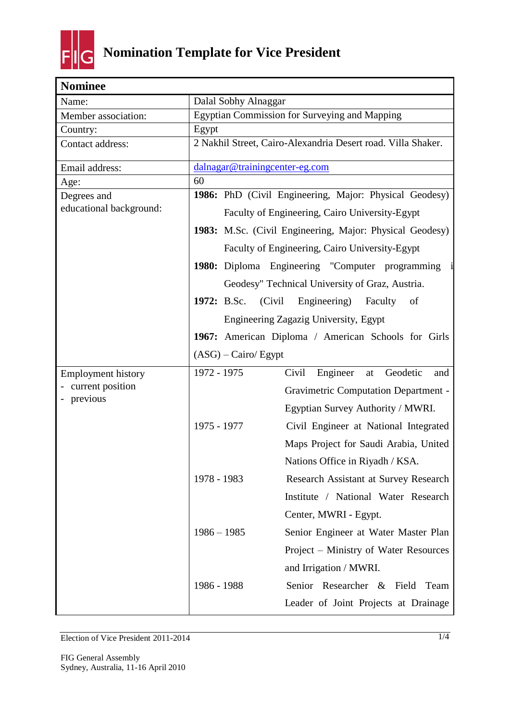

| <b>Nominee</b>            |                                                      |                                                              |
|---------------------------|------------------------------------------------------|--------------------------------------------------------------|
| Name:                     | Dalal Sobhy Alnaggar                                 |                                                              |
| Member association:       | <b>Egyptian Commission for Surveying and Mapping</b> |                                                              |
| Country:                  | Egypt                                                |                                                              |
| Contact address:          |                                                      | 2 Nakhil Street, Cairo-Alexandria Desert road. Villa Shaker. |
| Email address:            | dalnagar@trainingcenter-eg.com                       |                                                              |
| Age:                      | 60                                                   |                                                              |
| Degrees and               |                                                      | 1986: PhD (Civil Engineering, Major: Physical Geodesy)       |
| educational background:   |                                                      | Faculty of Engineering, Cairo University-Egypt               |
|                           |                                                      | 1983: M.Sc. (Civil Engineering, Major: Physical Geodesy)     |
|                           |                                                      | Faculty of Engineering, Cairo University-Egypt               |
|                           |                                                      | 1980: Diploma Engineering "Computer programming              |
|                           |                                                      | Geodesy" Technical University of Graz, Austria.              |
|                           | <b>1972:</b> B.Sc. (Civil                            | Engineering)<br>Faculty<br>of                                |
|                           |                                                      | Engineering Zagazig University, Egypt                        |
|                           |                                                      | 1967: American Diploma / American Schools for Girls          |
|                           | $(ASG)$ – Cairo/ Egypt                               |                                                              |
| <b>Employment history</b> | 1972 - 1975                                          | Civil<br>Engineer<br>Geodetic<br>at<br>and                   |
| current position          |                                                      | <b>Gravimetric Computation Department -</b>                  |
| previous                  |                                                      | Egyptian Survey Authority / MWRI.                            |
|                           | 1975 - 1977                                          | Civil Engineer at National Integrated                        |
|                           |                                                      | Maps Project for Saudi Arabia, United                        |
|                           |                                                      | Nations Office in Rivadh / KSA.                              |
|                           | 1978 - 1983                                          | Research Assistant at Survey Research                        |
|                           |                                                      | Institute / National Water Research                          |
|                           |                                                      | Center, MWRI - Egypt.                                        |
|                           | $1986 - 1985$                                        | Senior Engineer at Water Master Plan                         |
|                           |                                                      | Project – Ministry of Water Resources                        |
|                           |                                                      | and Irrigation / MWRI.                                       |
|                           | 1986 - 1988                                          | Senior Researcher &<br>Field<br>Team                         |
|                           |                                                      | Leader of Joint Projects at Drainage                         |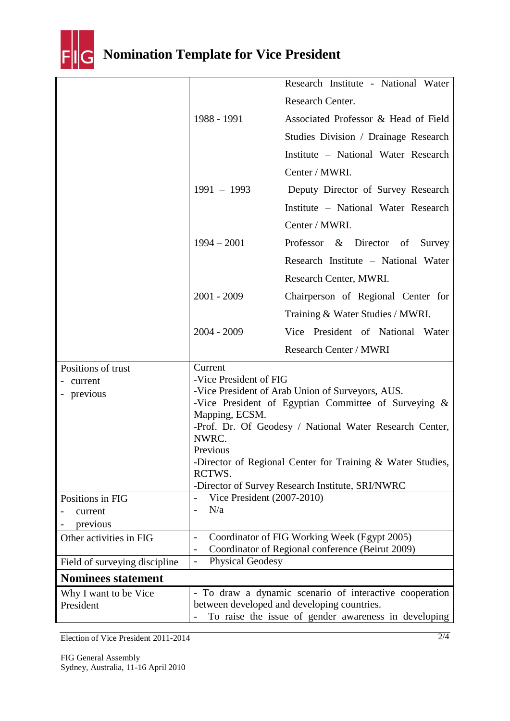

## **Nomination Template for Vice President**

|                                             |                                                                                                                                                                                                                                                                                                                                                                                | Research Institute - National Water                                                                                                                            |
|---------------------------------------------|--------------------------------------------------------------------------------------------------------------------------------------------------------------------------------------------------------------------------------------------------------------------------------------------------------------------------------------------------------------------------------|----------------------------------------------------------------------------------------------------------------------------------------------------------------|
|                                             |                                                                                                                                                                                                                                                                                                                                                                                | Research Center.                                                                                                                                               |
|                                             | 1988 - 1991                                                                                                                                                                                                                                                                                                                                                                    | Associated Professor & Head of Field                                                                                                                           |
|                                             |                                                                                                                                                                                                                                                                                                                                                                                | Studies Division / Drainage Research                                                                                                                           |
|                                             |                                                                                                                                                                                                                                                                                                                                                                                | Institute - National Water Research                                                                                                                            |
|                                             |                                                                                                                                                                                                                                                                                                                                                                                | Center / MWRI.                                                                                                                                                 |
|                                             | $1991 - 1993$                                                                                                                                                                                                                                                                                                                                                                  | Deputy Director of Survey Research                                                                                                                             |
|                                             |                                                                                                                                                                                                                                                                                                                                                                                | Institute - National Water Research                                                                                                                            |
|                                             |                                                                                                                                                                                                                                                                                                                                                                                | Center / MWRI.                                                                                                                                                 |
|                                             | $1994 - 2001$                                                                                                                                                                                                                                                                                                                                                                  | Professor & Director of<br>Survey                                                                                                                              |
|                                             |                                                                                                                                                                                                                                                                                                                                                                                | Research Institute - National Water                                                                                                                            |
|                                             |                                                                                                                                                                                                                                                                                                                                                                                | Research Center, MWRI.                                                                                                                                         |
|                                             | 2001 - 2009                                                                                                                                                                                                                                                                                                                                                                    | Chairperson of Regional Center for                                                                                                                             |
|                                             |                                                                                                                                                                                                                                                                                                                                                                                | Training & Water Studies / MWRI.                                                                                                                               |
|                                             | $2004 - 2009$                                                                                                                                                                                                                                                                                                                                                                  | Vice President of National Water                                                                                                                               |
|                                             |                                                                                                                                                                                                                                                                                                                                                                                | Research Center / MWRI                                                                                                                                         |
| Positions of trust<br>current<br>- previous | Current<br>-Vice President of FIG<br>-Vice President of Arab Union of Surveyors, AUS.<br>-Vice President of Egyptian Committee of Surveying $\&$<br>Mapping, ECSM.<br>-Prof. Dr. Of Geodesy / National Water Research Center,<br>NWRC.<br>Previous<br>-Director of Regional Center for Training & Water Studies,<br>RCTWS.<br>-Director of Survey Research Institute, SRI/NWRC |                                                                                                                                                                |
| Positions in FIG                            | Vice President (2007-2010)<br>N/a<br>$\overline{a}$                                                                                                                                                                                                                                                                                                                            |                                                                                                                                                                |
| current<br>previous                         |                                                                                                                                                                                                                                                                                                                                                                                |                                                                                                                                                                |
| Other activities in FIG                     | $\overline{\phantom{0}}$                                                                                                                                                                                                                                                                                                                                                       | Coordinator of FIG Working Week (Egypt 2005)                                                                                                                   |
| Field of surveying discipline               | <b>Physical Geodesy</b><br>$\overline{\phantom{a}}$                                                                                                                                                                                                                                                                                                                            | Coordinator of Regional conference (Beirut 2009)                                                                                                               |
| <b>Nominees statement</b>                   |                                                                                                                                                                                                                                                                                                                                                                                |                                                                                                                                                                |
| Why I want to be Vice<br>President          |                                                                                                                                                                                                                                                                                                                                                                                | - To draw a dynamic scenario of interactive cooperation<br>between developed and developing countries.<br>To raise the issue of gender awareness in developing |

Election of Vice President 2011-2014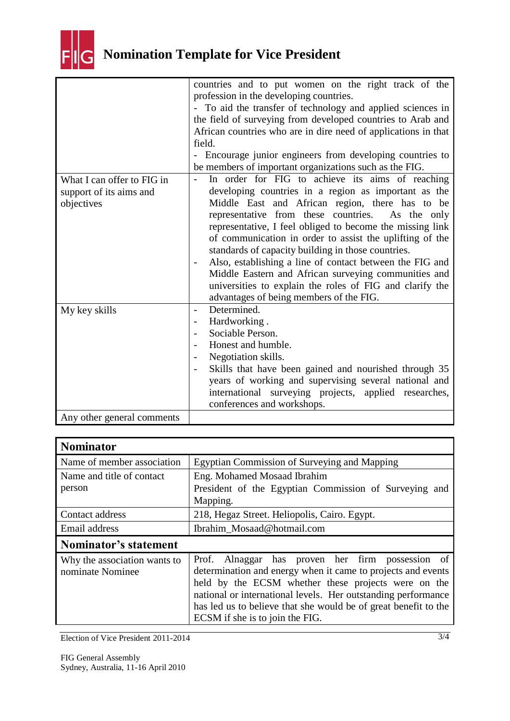

|                                                                     | countries and to put women on the right track of the<br>profession in the developing countries.<br>- To aid the transfer of technology and applied sciences in<br>the field of surveying from developed countries to Arab and<br>African countries who are in dire need of applications in that<br>field.<br>- Encourage junior engineers from developing countries to<br>be members of important organizations such as the FIG.                                                                                                                                                                                          |
|---------------------------------------------------------------------|---------------------------------------------------------------------------------------------------------------------------------------------------------------------------------------------------------------------------------------------------------------------------------------------------------------------------------------------------------------------------------------------------------------------------------------------------------------------------------------------------------------------------------------------------------------------------------------------------------------------------|
| What I can offer to FIG in<br>support of its aims and<br>objectives | In order for FIG to achieve its aims of reaching<br>developing countries in a region as important as the<br>Middle East and African region, there has to be<br>representative from these countries. As the only<br>representative, I feel obliged to become the missing link<br>of communication in order to assist the uplifting of the<br>standards of capacity building in those countries.<br>Also, establishing a line of contact between the FIG and<br>Middle Eastern and African surveying communities and<br>universities to explain the roles of FIG and clarify the<br>advantages of being members of the FIG. |
| My key skills                                                       | Determined.<br>$\overline{\phantom{0}}$<br>Hardworking.<br>Sociable Person.<br>Honest and humble.<br>Negotiation skills.<br>Skills that have been gained and nourished through 35<br>years of working and supervising several national and<br>international surveying projects, applied researches,<br>conferences and workshops.                                                                                                                                                                                                                                                                                         |
| Any other general comments                                          |                                                                                                                                                                                                                                                                                                                                                                                                                                                                                                                                                                                                                           |

| <b>Nominator</b>                                 |                                                                                                                                                                                                                                                                                                                                                |  |
|--------------------------------------------------|------------------------------------------------------------------------------------------------------------------------------------------------------------------------------------------------------------------------------------------------------------------------------------------------------------------------------------------------|--|
| Name of member association                       | Egyptian Commission of Surveying and Mapping                                                                                                                                                                                                                                                                                                   |  |
| Name and title of contact                        | Eng. Mohamed Mosaad Ibrahim                                                                                                                                                                                                                                                                                                                    |  |
| person                                           | President of the Egyptian Commission of Surveying and<br>Mapping.                                                                                                                                                                                                                                                                              |  |
| Contact address                                  | 218, Hegaz Street. Heliopolis, Cairo. Egypt.                                                                                                                                                                                                                                                                                                   |  |
| Email address                                    | Ibrahim Mosaad@hotmail.com                                                                                                                                                                                                                                                                                                                     |  |
| Nominator's statement                            |                                                                                                                                                                                                                                                                                                                                                |  |
| Why the association wants to<br>nominate Nominee | Prof. Alnaggar has proven her firm possession of<br>determination and energy when it came to projects and events<br>held by the ECSM whether these projects were on the<br>national or international levels. Her outstanding performance<br>has led us to believe that she would be of great benefit to the<br>ECSM if she is to join the FIG. |  |

Election of Vice President 2011-2014